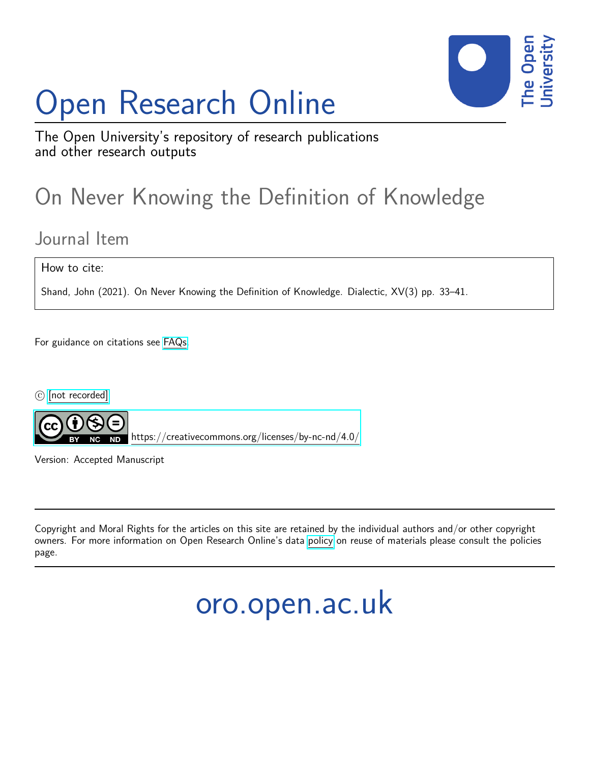# Open Research Online



The Open University's repository of research publications and other research outputs

## On Never Knowing the Definition of Knowledge

### Journal Item

How to cite:

Shand, John (2021). On Never Knowing the Definition of Knowledge. Dialectic, XV(3) pp. 33–41.

For guidance on citations see [FAQs.](http://oro.open.ac.uk/help/helpfaq.html)

c [\[not recorded\]](http://oro.open.ac.uk/help/helpfaq.html#Unrecorded_information_on_coversheet)



<https://creativecommons.org/licenses/by-nc-nd/4.0/>

Version: Accepted Manuscript

Copyright and Moral Rights for the articles on this site are retained by the individual authors and/or other copyright owners. For more information on Open Research Online's data [policy](http://oro.open.ac.uk/policies.html) on reuse of materials please consult the policies page.

oro.open.ac.uk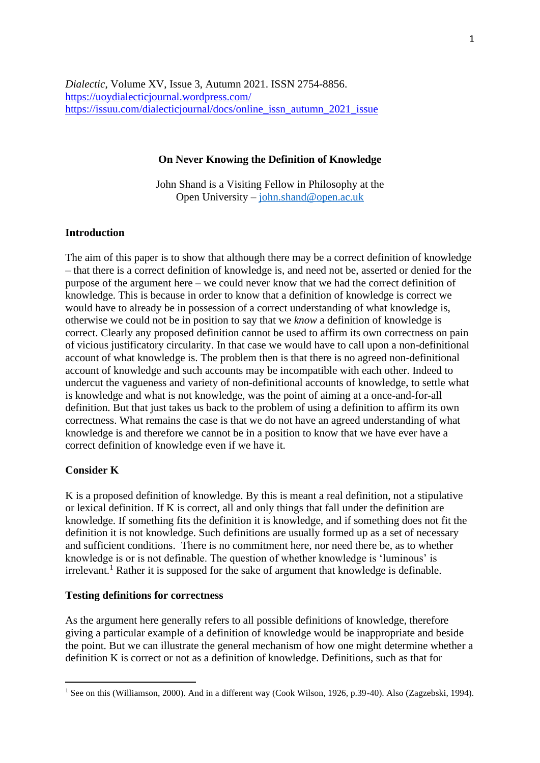*Dialectic*, Volume XV, Issue 3, Autumn 2021. ISSN 2754-8856. <https://uoydialecticjournal.wordpress.com/> [https://issuu.com/dialecticjournal/docs/online\\_issn\\_autumn\\_2021\\_issue](https://issuu.com/dialecticjournal/docs/online_issn_autumn_2021_issue)

#### **On Never Knowing the Definition of Knowledge**

John Shand is a Visiting Fellow in Philosophy at the Open University – [john.shand@open.ac.uk](about:blank)

#### **Introduction**

The aim of this paper is to show that although there may be a correct definition of knowledge – that there is a correct definition of knowledge is, and need not be, asserted or denied for the purpose of the argument here – we could never know that we had the correct definition of knowledge. This is because in order to know that a definition of knowledge is correct we would have to already be in possession of a correct understanding of what knowledge is, otherwise we could not be in position to say that we *know* a definition of knowledge is correct. Clearly any proposed definition cannot be used to affirm its own correctness on pain of vicious justificatory circularity. In that case we would have to call upon a non-definitional account of what knowledge is. The problem then is that there is no agreed non-definitional account of knowledge and such accounts may be incompatible with each other. Indeed to undercut the vagueness and variety of non-definitional accounts of knowledge, to settle what is knowledge and what is not knowledge, was the point of aiming at a once-and-for-all definition. But that just takes us back to the problem of using a definition to affirm its own correctness. What remains the case is that we do not have an agreed understanding of what knowledge is and therefore we cannot be in a position to know that we have ever have a correct definition of knowledge even if we have it.

#### **Consider K**

K is a proposed definition of knowledge. By this is meant a real definition, not a stipulative or lexical definition. If K is correct, all and only things that fall under the definition are knowledge. If something fits the definition it is knowledge, and if something does not fit the definition it is not knowledge. Such definitions are usually formed up as a set of necessary and sufficient conditions. There is no commitment here, nor need there be, as to whether knowledge is or is not definable. The question of whether knowledge is 'luminous' is  $i$ irrelevant.<sup>1</sup> Rather it is supposed for the sake of argument that knowledge is definable.

#### **Testing definitions for correctness**

As the argument here generally refers to all possible definitions of knowledge, therefore giving a particular example of a definition of knowledge would be inappropriate and beside the point. But we can illustrate the general mechanism of how one might determine whether a definition K is correct or not as a definition of knowledge. Definitions, such as that for

<sup>&</sup>lt;sup>1</sup> See on this (Williamson, 2000). And in a different way (Cook Wilson, 1926, p.39-40). Also (Zagzebski, 1994).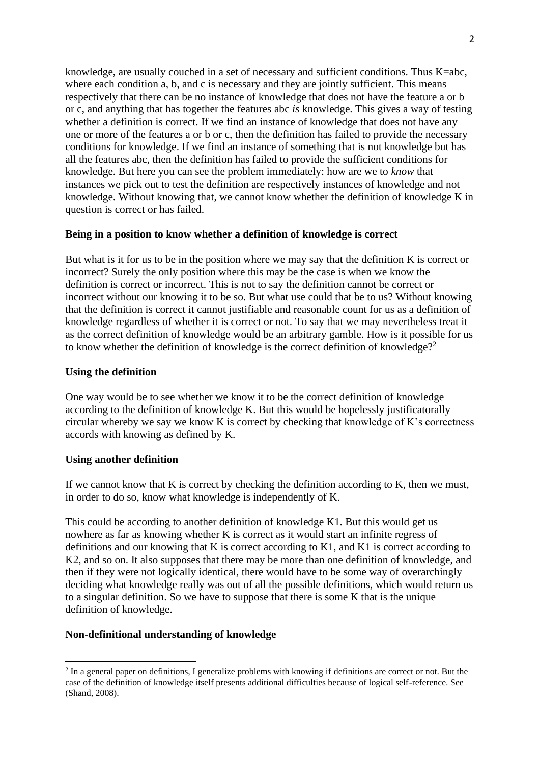knowledge, are usually couched in a set of necessary and sufficient conditions. Thus K=abc, where each condition a, b, and c is necessary and they are jointly sufficient. This means respectively that there can be no instance of knowledge that does not have the feature a or b or c, and anything that has together the features abc *is* knowledge. This gives a way of testing whether a definition is correct. If we find an instance of knowledge that does not have any one or more of the features a or b or c, then the definition has failed to provide the necessary conditions for knowledge. If we find an instance of something that is not knowledge but has all the features abc, then the definition has failed to provide the sufficient conditions for knowledge. But here you can see the problem immediately: how are we to *know* that instances we pick out to test the definition are respectively instances of knowledge and not knowledge. Without knowing that, we cannot know whether the definition of knowledge K in question is correct or has failed.

#### **Being in a position to know whether a definition of knowledge is correct**

But what is it for us to be in the position where we may say that the definition K is correct or incorrect? Surely the only position where this may be the case is when we know the definition is correct or incorrect. This is not to say the definition cannot be correct or incorrect without our knowing it to be so. But what use could that be to us? Without knowing that the definition is correct it cannot justifiable and reasonable count for us as a definition of knowledge regardless of whether it is correct or not. To say that we may nevertheless treat it as the correct definition of knowledge would be an arbitrary gamble. How is it possible for us to know whether the definition of knowledge is the correct definition of knowledge?<sup>2</sup>

#### **Using the definition**

One way would be to see whether we know it to be the correct definition of knowledge according to the definition of knowledge K. But this would be hopelessly justificatorally circular whereby we say we know K is correct by checking that knowledge of K's correctness accords with knowing as defined by K.

#### **Using another definition**

If we cannot know that K is correct by checking the definition according to K, then we must, in order to do so, know what knowledge is independently of K.

This could be according to another definition of knowledge K1. But this would get us nowhere as far as knowing whether K is correct as it would start an infinite regress of definitions and our knowing that K is correct according to K1, and K1 is correct according to K2, and so on. It also supposes that there may be more than one definition of knowledge, and then if they were not logically identical, there would have to be some way of overarchingly deciding what knowledge really was out of all the possible definitions, which would return us to a singular definition. So we have to suppose that there is some K that is the unique definition of knowledge.

#### **Non-definitional understanding of knowledge**

 $2$  In a general paper on definitions, I generalize problems with knowing if definitions are correct or not. But the case of the definition of knowledge itself presents additional difficulties because of logical self-reference. See (Shand, 2008).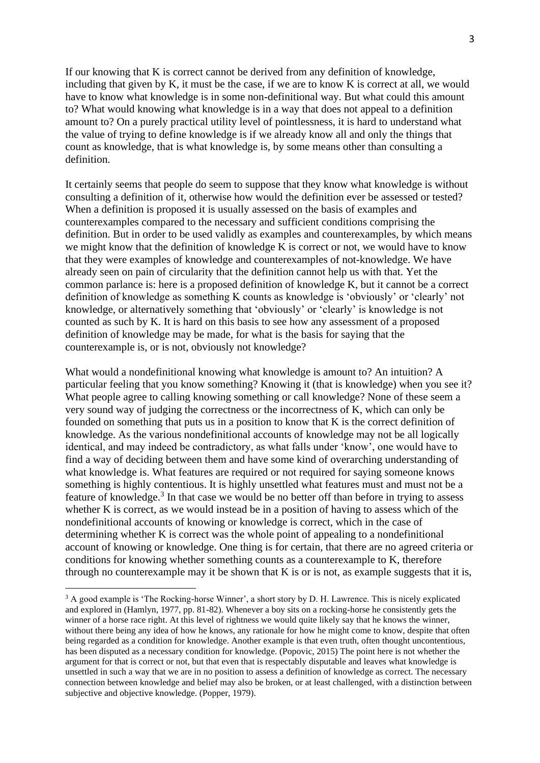If our knowing that K is correct cannot be derived from any definition of knowledge, including that given by K, it must be the case, if we are to know K is correct at all, we would have to know what knowledge is in some non-definitional way. But what could this amount to? What would knowing what knowledge is in a way that does not appeal to a definition amount to? On a purely practical utility level of pointlessness, it is hard to understand what the value of trying to define knowledge is if we already know all and only the things that count as knowledge, that is what knowledge is, by some means other than consulting a definition.

It certainly seems that people do seem to suppose that they know what knowledge is without consulting a definition of it, otherwise how would the definition ever be assessed or tested? When a definition is proposed it is usually assessed on the basis of examples and counterexamples compared to the necessary and sufficient conditions comprising the definition. But in order to be used validly as examples and counterexamples, by which means we might know that the definition of knowledge K is correct or not, we would have to know that they were examples of knowledge and counterexamples of not-knowledge. We have already seen on pain of circularity that the definition cannot help us with that. Yet the common parlance is: here is a proposed definition of knowledge K, but it cannot be a correct definition of knowledge as something K counts as knowledge is 'obviously' or 'clearly' not knowledge, or alternatively something that 'obviously' or 'clearly' is knowledge is not counted as such by K. It is hard on this basis to see how any assessment of a proposed definition of knowledge may be made, for what is the basis for saying that the counterexample is, or is not, obviously not knowledge?

What would a nondefinitional knowing what knowledge is amount to? An intuition? A particular feeling that you know something? Knowing it (that is knowledge) when you see it? What people agree to calling knowing something or call knowledge? None of these seem a very sound way of judging the correctness or the incorrectness of K, which can only be founded on something that puts us in a position to know that K is the correct definition of knowledge. As the various nondefinitional accounts of knowledge may not be all logically identical, and may indeed be contradictory, as what falls under 'know', one would have to find a way of deciding between them and have some kind of overarching understanding of what knowledge is. What features are required or not required for saying someone knows something is highly contentious. It is highly unsettled what features must and must not be a feature of knowledge.<sup>3</sup> In that case we would be no better off than before in trying to assess whether K is correct, as we would instead be in a position of having to assess which of the nondefinitional accounts of knowing or knowledge is correct, which in the case of determining whether K is correct was the whole point of appealing to a nondefinitional account of knowing or knowledge. One thing is for certain, that there are no agreed criteria or conditions for knowing whether something counts as a counterexample to K, therefore through no counterexample may it be shown that  $K$  is or is not, as example suggests that it is,

<sup>&</sup>lt;sup>3</sup> A good example is 'The Rocking-horse Winner', a short story by D. H. Lawrence. This is nicely explicated and explored in (Hamlyn, 1977, pp. 81-82). Whenever a boy sits on a rocking-horse he consistently gets the winner of a horse race right. At this level of rightness we would quite likely say that he knows the winner, without there being any idea of how he knows, any rationale for how he might come to know, despite that often being regarded as a condition for knowledge. Another example is that even truth, often thought uncontentious, has been disputed as a necessary condition for knowledge. (Popovic, 2015) The point here is not whether the argument for that is correct or not, but that even that is respectably disputable and leaves what knowledge is unsettled in such a way that we are in no position to assess a definition of knowledge as correct. The necessary connection between knowledge and belief may also be broken, or at least challenged, with a distinction between subjective and objective knowledge. (Popper, 1979).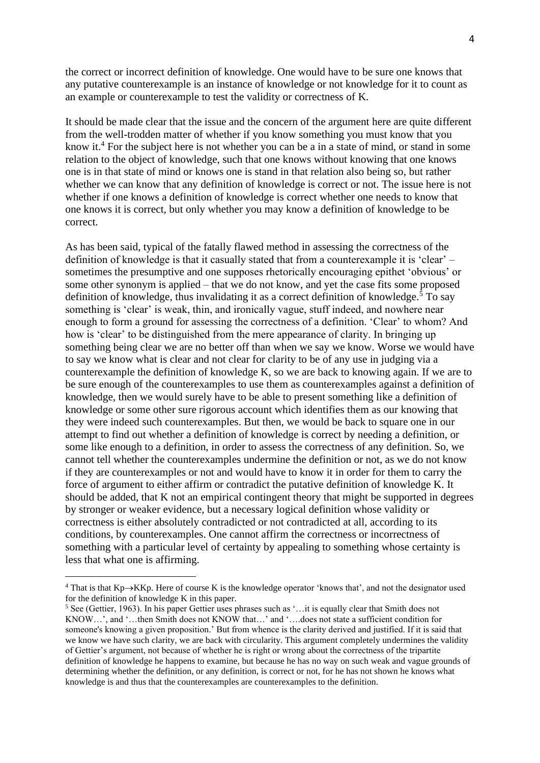the correct or incorrect definition of knowledge. One would have to be sure one knows that any putative counterexample is an instance of knowledge or not knowledge for it to count as an example or counterexample to test the validity or correctness of K.

It should be made clear that the issue and the concern of the argument here are quite different from the well-trodden matter of whether if you know something you must know that you know it.<sup>4</sup> For the subject here is not whether you can be a in a state of mind, or stand in some relation to the object of knowledge, such that one knows without knowing that one knows one is in that state of mind or knows one is stand in that relation also being so, but rather whether we can know that any definition of knowledge is correct or not. The issue here is not whether if one knows a definition of knowledge is correct whether one needs to know that one knows it is correct, but only whether you may know a definition of knowledge to be correct.

As has been said, typical of the fatally flawed method in assessing the correctness of the definition of knowledge is that it casually stated that from a counterexample it is 'clear' – sometimes the presumptive and one supposes rhetorically encouraging epithet 'obvious' or some other synonym is applied – that we do not know, and yet the case fits some proposed definition of knowledge, thus invalidating it as a correct definition of knowledge.<sup>5</sup> To say something is 'clear' is weak, thin, and ironically vague, stuff indeed, and nowhere near enough to form a ground for assessing the correctness of a definition. 'Clear' to whom? And how is 'clear' to be distinguished from the mere appearance of clarity. In bringing up something being clear we are no better off than when we say we know. Worse we would have to say we know what is clear and not clear for clarity to be of any use in judging via a counterexample the definition of knowledge K, so we are back to knowing again. If we are to be sure enough of the counterexamples to use them as counterexamples against a definition of knowledge, then we would surely have to be able to present something like a definition of knowledge or some other sure rigorous account which identifies them as our knowing that they were indeed such counterexamples. But then, we would be back to square one in our attempt to find out whether a definition of knowledge is correct by needing a definition, or some like enough to a definition, in order to assess the correctness of any definition. So, we cannot tell whether the counterexamples undermine the definition or not, as we do not know if they are counterexamples or not and would have to know it in order for them to carry the force of argument to either affirm or contradict the putative definition of knowledge K. It should be added, that K not an empirical contingent theory that might be supported in degrees by stronger or weaker evidence, but a necessary logical definition whose validity or correctness is either absolutely contradicted or not contradicted at all, according to its conditions, by counterexamples. One cannot affirm the correctness or incorrectness of something with a particular level of certainty by appealing to something whose certainty is less that what one is affirming.

<sup>4</sup> That is that Kp→KKp. Here of course K is the knowledge operator 'knows that', and not the designator used for the definition of knowledge K in this paper.

<sup>5</sup> See (Gettier, 1963). In his paper Gettier uses phrases such as '…it is equally clear that Smith does not KNOW…', and '…then Smith does not KNOW that…' and '….does not state a sufficient condition for someone's knowing a given proposition.' But from whence is the clarity derived and justified. If it is said that we know we have such clarity, we are back with circularity. This argument completely undermines the validity of Gettier's argument, not because of whether he is right or wrong about the correctness of the tripartite definition of knowledge he happens to examine, but because he has no way on such weak and vague grounds of determining whether the definition, or any definition, is correct or not, for he has not shown he knows what knowledge is and thus that the counterexamples are counterexamples to the definition.